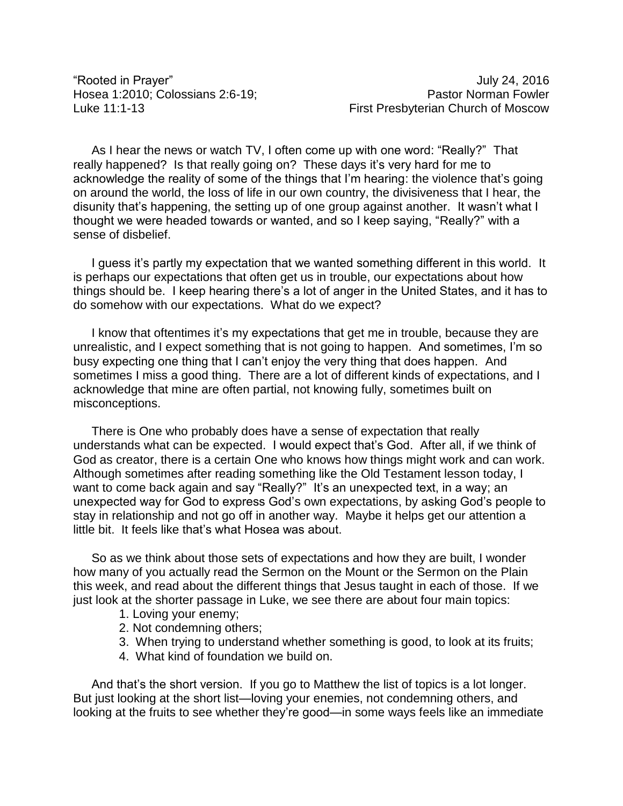"Rooted in Prayer" July 24, 2016

As I hear the news or watch TV, I often come up with one word: "Really?" That really happened? Is that really going on? These days it's very hard for me to acknowledge the reality of some of the things that I'm hearing: the violence that's going on around the world, the loss of life in our own country, the divisiveness that I hear, the disunity that's happening, the setting up of one group against another. It wasn't what I thought we were headed towards or wanted, and so I keep saying, "Really?" with a sense of disbelief.

I guess it's partly my expectation that we wanted something different in this world. It is perhaps our expectations that often get us in trouble, our expectations about how things should be. I keep hearing there's a lot of anger in the United States, and it has to do somehow with our expectations. What do we expect?

I know that oftentimes it's my expectations that get me in trouble, because they are unrealistic, and I expect something that is not going to happen. And sometimes, I'm so busy expecting one thing that I can't enjoy the very thing that does happen. And sometimes I miss a good thing. There are a lot of different kinds of expectations, and I acknowledge that mine are often partial, not knowing fully, sometimes built on misconceptions.

There is One who probably does have a sense of expectation that really understands what can be expected. I would expect that's God. After all, if we think of God as creator, there is a certain One who knows how things might work and can work. Although sometimes after reading something like the Old Testament lesson today, I want to come back again and say "Really?" It's an unexpected text, in a way; an unexpected way for God to express God's own expectations, by asking God's people to stay in relationship and not go off in another way. Maybe it helps get our attention a little bit. It feels like that's what Hosea was about.

So as we think about those sets of expectations and how they are built, I wonder how many of you actually read the Sermon on the Mount or the Sermon on the Plain this week, and read about the different things that Jesus taught in each of those. If we just look at the shorter passage in Luke, we see there are about four main topics:

- 1. Loving your enemy;
- 2. Not condemning others;
- 3. When trying to understand whether something is good, to look at its fruits;
- 4. What kind of foundation we build on.

And that's the short version. If you go to Matthew the list of topics is a lot longer. But just looking at the short list—loving your enemies, not condemning others, and looking at the fruits to see whether they're good—in some ways feels like an immediate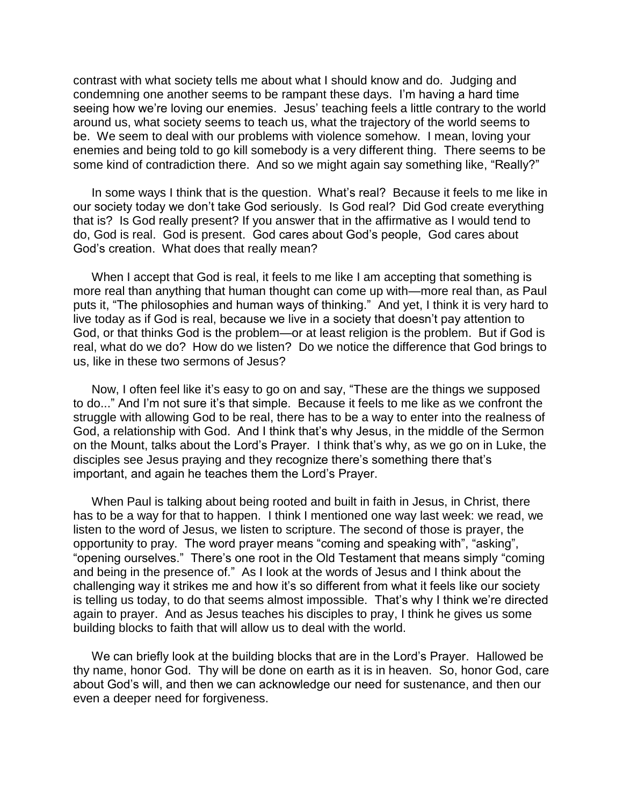contrast with what society tells me about what I should know and do. Judging and condemning one another seems to be rampant these days. I'm having a hard time seeing how we're loving our enemies. Jesus' teaching feels a little contrary to the world around us, what society seems to teach us, what the trajectory of the world seems to be. We seem to deal with our problems with violence somehow. I mean, loving your enemies and being told to go kill somebody is a very different thing. There seems to be some kind of contradiction there. And so we might again say something like, "Really?"

In some ways I think that is the question. What's real? Because it feels to me like in our society today we don't take God seriously. Is God real? Did God create everything that is? Is God really present? If you answer that in the affirmative as I would tend to do, God is real. God is present. God cares about God's people, God cares about God's creation. What does that really mean?

When I accept that God is real, it feels to me like I am accepting that something is more real than anything that human thought can come up with—more real than, as Paul puts it, "The philosophies and human ways of thinking." And yet, I think it is very hard to live today as if God is real, because we live in a society that doesn't pay attention to God, or that thinks God is the problem—or at least religion is the problem. But if God is real, what do we do? How do we listen? Do we notice the difference that God brings to us, like in these two sermons of Jesus?

Now, I often feel like it's easy to go on and say, "These are the things we supposed to do..." And I'm not sure it's that simple. Because it feels to me like as we confront the struggle with allowing God to be real, there has to be a way to enter into the realness of God, a relationship with God. And I think that's why Jesus, in the middle of the Sermon on the Mount, talks about the Lord's Prayer. I think that's why, as we go on in Luke, the disciples see Jesus praying and they recognize there's something there that's important, and again he teaches them the Lord's Prayer.

When Paul is talking about being rooted and built in faith in Jesus, in Christ, there has to be a way for that to happen. I think I mentioned one way last week: we read, we listen to the word of Jesus, we listen to scripture. The second of those is prayer, the opportunity to pray. The word prayer means "coming and speaking with", "asking", "opening ourselves." There's one root in the Old Testament that means simply "coming and being in the presence of." As I look at the words of Jesus and I think about the challenging way it strikes me and how it's so different from what it feels like our society is telling us today, to do that seems almost impossible. That's why I think we're directed again to prayer. And as Jesus teaches his disciples to pray, I think he gives us some building blocks to faith that will allow us to deal with the world.

We can briefly look at the building blocks that are in the Lord's Prayer. Hallowed be thy name, honor God. Thy will be done on earth as it is in heaven. So, honor God, care about God's will, and then we can acknowledge our need for sustenance, and then our even a deeper need for forgiveness.